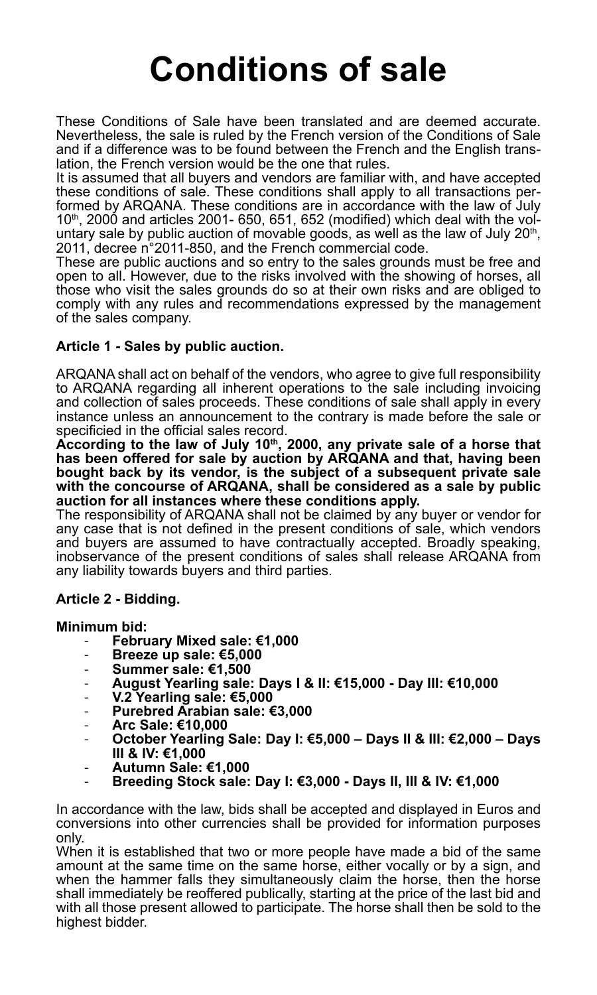# **Conditions of sale**

These Conditions of Sale have been translated and are deemed accurate. Nevertheless, the sale is ruled by the French version of the Conditions of Sale and if a difference was to be found between the French and the English translation, the French version would be the one that rules.

It is assumed that all buyers and vendors are familiar with, and have accepted these conditions of sale. These conditions shall apply to all transactions performed by ARQANA. These conditions are in accordance with the law of July 10<sup>th</sup>, 2000 and articles 2001- 650, 651, 652 (modified) which deal with the voluntary sale by public auction of movable goods, as well as the law of July 20<sup>th</sup>, 20th, auction of movable goods, and the French commercial code.

These are public auctions and so entry to the sales grounds must be free and open to all. However, due to the risks involved with the showing of horses, all those who visit the sales grounds do so at their own risks and are obliged to comply with any rules and recommendations expressed by the management of the sales company.

# **Article 1 - Sales by public auction.**

ARQANA shall act on behalf of the vendors, who agree to give full responsibility to ARQANA regarding all inherent operations to the sale including invoicing and collection of sales proceeds. These conditions of sale shall apply in every instance unless an announcement to the contrary is made before the sale or specificied in the official sales record.

**According to the law of July 10th, 2000, any private sale of a horse that has been offered for sale by auction by ARQANA and that, having been bought back by its vendor, is the subject of a subsequent private sale with the concourse of ARQANA, shall be considered as a sale by public auction for all instances where these conditions apply.** 

The responsibility of ARQANA shall not be claimed by any buyer or vendor for any case that is not defined in the present conditions of sale, which vendors and buyers are assumed to have contractually accepted. Broadly speaking, inobservance of the present conditions of sales shall release ARQANA from any liability towards buyers and third parties.

# **Article 2 - Bidding.**

# **Minimum bid:**

- **February Mixed sale: €1,000**
- **Breeze up sale: €5,000**
- **Summer sale: €1,500**
- **August Yearling sale: Days I & II: €15,000 Day III: €10,000**
- **V.2 Yearling sale: €5,000**
- **Purebred Arabian sale: €3,000**
- **Arc Sale: €10,000**
- **October Yearling Sale: Day I: €5,000 Days II & III: €2,000 Days**
- 
- **IIIII Autumn Sale: €1,000**<br>Breeding Stock sale: Day I: €3,000 Days II, III & IV: €1,000

In accordance with the law, bids shall be accepted and displayed in Euros and conversions into other currencies shall be provided for information purposes only.

When it is established that two or more people have made a bid of the same amount at the same time on the same horse, either vocally or by a sign, and when the hammer falls they simultaneously claim the horse, then the horse shall immediately be reoffered publically, starting at the price of the last bid and with all those present allowed to participate. The horse shall then be sold to the highest bidder.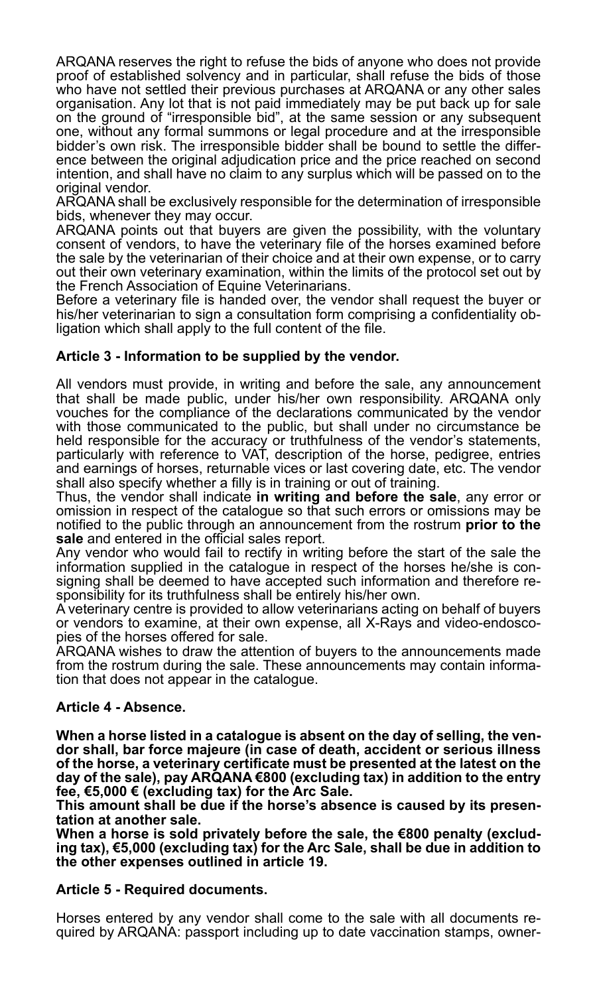ARQANA reserves the right to refuse the bids of anyone who does not provide proof of established solvency and in particular, shall refuse the bids of those who have not settled their previous purchases at ARQANA or any other sales organisation. Any lot that is not paid immediately may be put back up for sale on the ground of "irresponsible bid", at the same session or any subsequent one, without any formal summons or legal procedure and at the irresponsible bidder's own risk. The irresponsible bidder shall be bound to settle the difference between the original adjudication price and the price reached on second intention, and shall have no claim to any surplus which will be passed on to the original vendor.

ARQANA shall be exclusively responsible for the determination of irresponsible bids, whenever they may occur.

ARQANA points out that buyers are given the possibility, with the voluntary consent of vendors, to have the veterinary file of the horses examined before the sale by the veterinarian of their choice and at their own expense, or to carry out their own veterinary examination, within the limits of the protocol set out by the French Association of Equine Veterinarians.

Before a veterinary file is handed over, the vendor shall request the buyer or his/her veterinarian to sign a consultation form comprising a confidentiality obligation which shall apply to the full content of the file.

# **Article 3 - Information to be supplied by the vendor.**

All vendors must provide, in writing and before the sale, any announcement that shall be made public, under his/her own responsibility. ARQANA only vouches for the compliance of the declarations communicated by the vendor with those communicated to the public, but shall under no circumstance be held responsible for the accuracy or truthfulness of the vendor's statements, particularly with reference to VAT, description of the horse, pedigree, entries and earnings of horses, returnable vices or last covering date, etc. The vendor shall also specify whether a filly is in training or out of training.

Thus, the vendor shall indicate **in writing and before the sale**, any error or omission in respect of the catalogue so that such errors or omissions may be notified to the public through an announcement from the rostrum **prior to the sale** and entered in the official sales report.

Any vendor who would fail to rectify in writing before the start of the sale the information supplied in the catalogue in respect of the horses he/she is consigning shall be deemed to have accepted such information and therefore responsibility for its truthfulness shall be entirely his/her own.

A veterinary centre is provided to allow veterinarians acting on behalf of buyers or vendors to examine, at their own expense, all X-Rays and video-endoscopies of the horses offered for sale.

ARQANA wishes to draw the attention of buyers to the announcements made from the rostrum during the sale. These announcements may contain information that does not appear in the catalogue.

#### **Article 4 - Absence.**

**When a horse listed in a catalogue is absent on the day of selling, the vendor shall, bar force majeure (in case of death, accident or serious illness of the horse, a veterinary certificate must be presented at the latest on the day of the sale), pay ARQANA €800 (excluding tax) in addition to the entry fee, €5,000 € (excluding tax) for the Arc Sale.**

**This amount shall be due if the horse's absence is caused by its presen-**

**tation at another sale. When a horse is sold privately before the sale, the €800 penalty (exclud- ing tax), €5,000 (excluding tax) for the Arc Sale, shall be due in addition to the other expenses outlined in article 19.**

#### **Article 5 - Required documents.**

Horses entered by any vendor shall come to the sale with all documents required by ARQANA: passport including up to date vaccination stamps, owner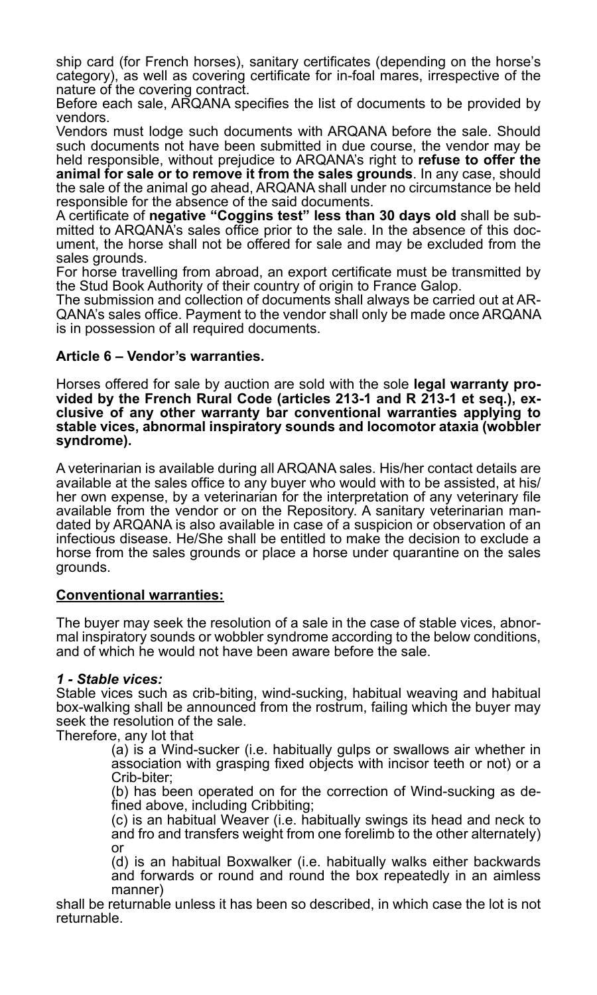ship card (for French horses), sanitary certificates (depending on the horse's category), as well as covering certificate for in-foal mares, irrespective of the nature of the covering contract.

Before each sale, ARQANA specifies the list of documents to be provided by vendors.

Vendors must lodge such documents with ARQANA before the sale. Should such documents not have been submitted in due course, the vendor may be held responsible, without prejudice to ARQANA's right to **refuse to offer the animal for sale or to remove it from the sales grounds**. In any case, should the sale of the animal go ahead, ARQANA shall under no circumstance be held responsible for the absence of the said documents.

A certificate of **negative "Coggins test" less than 30 days old** shall be submitted to ARQANA's sales office prior to the sale. In the absence of this document, the horse shall not be offered for sale and may be excluded from the sales grounds.

For horse travelling from abroad, an export certificate must be transmitted by the Stud Book Authority of their country of origin to France Galop.

The submission and collection of documents shall always be carried out at AR-QANA's sales office. Payment to the vendor shall only be made once ARQANA is in possession of all required documents.

#### **Article 6 – Vendor's warranties.**

Horses offered for sale by auction are sold with the sole **legal warranty provided by the French Rural Code (articles 213-1 and R 213-1 et seq.), exclusive of any other warranty bar conventional warranties applying to stable vices, abnormal inspiratory sounds and locomotor ataxia (wobbler syndrome).**

A veterinarian is available during all ARQANA sales. His/her contact details are available at the sales office to any buyer who would with to be assisted. at his/ her own expense, by a veterinarian for the interpretation of any veterinary file available from the vendor or on the Repository. A sanitary veterinarian mandated by ARQANA is also available in case of a suspicion or observation of an infectious disease. He/She shall be entitled to make the decision to exclude a horse from the sales grounds or place a horse under quarantine on the sales grounds.

#### **Conventional warranties:**

The buyer may seek the resolution of a sale in the case of stable vices, abnormal inspiratory sounds or wobbler syndrome according to the below conditions, and of which he would not have been aware before the sale.

#### *1 - Stable vices:*

Stable vices such as crib-biting, wind-sucking, habitual weaving and habitual box-walking shall be announced from the rostrum, failing which the buyer may seek the resolution of the sale.

Therefore, any lot that

(a) is a Wind-sucker (i.e. habitually gulps or swallows air whether in association with grasping fixed objects with incisor teeth or not) or a Crib-biter;

(b) has been operated on for the correction of Wind-sucking as defined above, including Cribbiting;

(c) is an habitual Weaver (i.e. habitually swings its head and neck to and fro and transfers weight from one forelimb to the other alternately) or

(d) is an habitual Boxwalker (i.e. habitually walks either backwards and forwards or round and round the box repeatedly in an aimless manner)

shall be returnable unless it has been so described, in which case the lot is not returnable.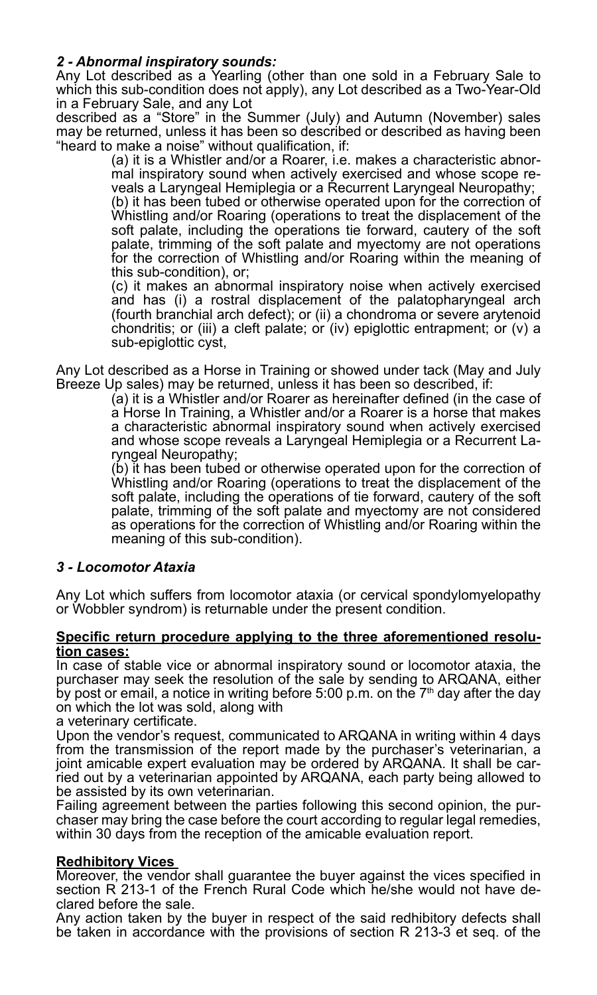# *2 - Abnormal inspiratory sounds:*

Any Lot described as a Yearling (other than one sold in a February Sale to which this sub-condition does not apply), any Lot described as a Two-Year-Old in a February Sale, and any Lot

described as a "Store" in the Summer (July) and Autumn (November) sales may be returned, unless it has been so described or described as having been "heard to make a noise" without qualification, if:

(a) it is a Whistler and/or a Roarer, i.e. makes a characteristic abnormal inspiratory sound when actively exercised and whose scope reveals a Laryngeal Hemiplegia or a Recurrent Laryngeal Neuropathy;

(b) it has been tubed or otherwise operated upon for the correction of Whistling and/or Roaring (operations to treat the displacement of the soft palate, including the operations tie forward, cautery of the soft palate, trimming of the soft palate and myectomy are not operations for the correction of Whistling and/or Roaring within the meaning of this sub-condition), or;

(c) it makes an abnormal inspiratory noise when actively exercised and has (i) a rostral displacement of the palatopharyngeal arch (fourth branchial arch defect); or (ii) a chondroma or severe arytenoid chondritis; or (iii) a cleft palate; or (iv) epiglottic entrapment; or (v) a sub-epiglottic cyst,

Any Lot described as a Horse in Training or showed under tack (May and July Breeze Up sales) may be returned, unless it has been so described, if:

(a) it is a Whistler and/or Roarer as hereinafter defined (in the case of a Horse In Training, a Whistler and/or a Roarer is a horse that makes a characteristic abnormal inspiratory sound when actively exercised and whose scope reveals a Laryngeal Hemiplegia or a Recurrent Laryngeal Neuropathy;

(b) it has been tubed or otherwise operated upon for the correction of Whistling and/or Roaring (operations to treat the displacement of the soft palate, including the operations of tie forward, cautery of the soft palate, trimming of the soft palate and myectomy are not considered as operations for the correction of Whistling and/or Roaring within the meaning of this sub-condition).

#### *3 - Locomotor Ataxia*

Any Lot which suffers from locomotor ataxia (or cervical spondylomyelopathy or Wobbler syndrom) is returnable under the present condition.

#### **Specific return procedure applying to the three aforementioned resolution cases:**

In case of stable vice or abnormal inspiratory sound or locomotor ataxia, the purchaser may seek the resolution of the sale by sending to ARQANA, either by post or email, a notice in writing before 5:00 p.m. on the  $7<sup>th</sup>$  day after the day on which the lot was sold, along with

a veterinary certificate.

Upon the vendor's request, communicated to ARQANA in writing within 4 days from the transmission of the report made by the purchaser's veterinarian, a joint amicable expert evaluation may be ordered by ARQANA. It shall be carried out by a veterinarian appointed by ARQANA, each party being allowed to be assisted by its own veterinarian.

Failing agreement between the parties following this second opinion, the purchaser may bring the case before the court according to regular legal remedies, within 30 days from the reception of the amicable evaluation report.

#### **Redhibitory Vices**

Moreover, the vendor shall guarantee the buyer against the vices specified in section R 213-1 of the French Rural Code which he/she would not have de- clared before the sale.

Any action taken by the buyer in respect of the said redhibitory defects shall be taken in accordance with the provisions of section R 213-3 et seq. of the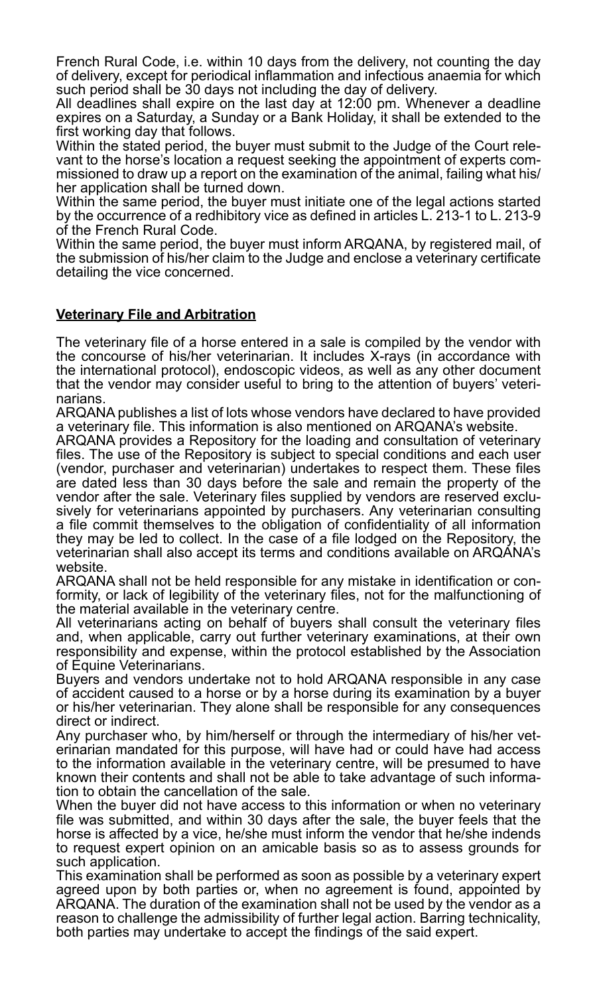French Rural Code, i.e. within 10 days from the delivery, not counting the day of delivery, except for periodical inflammation and infectious anaemia for which such period shall be 30 days not including the day of delivery.

All deadlines shall expire on the last day at 12:00 pm. Whenever a deadline expires on a Saturday, a Sunday or a Bank Holiday, it shall be extended to the first working day that follows.

Within the stated period, the buyer must submit to the Judge of the Court relevant to the horse's location a request seeking the appointment of experts commissioned to draw up a report on the examination of the animal, failing what his/ her application shall be turned down.

Within the same period, the buyer must initiate one of the legal actions started by the occurrence of a redhibitory vice as defined in articles L. 213-1 to L. 213-9 of the French Rural Code.

Within the same period, the buyer must inform ARQANA, by registered mail, of the submission of his/her claim to the Judge and enclose a veterinary certificate detailing the vice concerned.

# **Veterinary File and Arbitration**

The veterinary file of a horse entered in a sale is compiled by the vendor with the concourse of his/her veterinarian. It includes X-rays (in accordance with the international protocol), endoscopic videos, as well as any other document that the vendor may consider useful to bring to the attention of buyers' veterinarians.

ARQANA publishes a list of lots whose vendors have declared to have provided a veterinary file. This information is also mentioned on ARQANA's website.

ARQANA provides a Repository for the loading and consultation of veterinary files. The use of the Repository is subject to special conditions and each user (vendor, purchaser and veterinarian) undertakes to respect them. These files are dated less than 30 days before the sale and remain the property of the vendor after the sale. Veterinary files supplied by vendors are reserved exclusively for veterinarians appointed by purchasers. Any veterinarian consulting a file commit themselves to the obligation of confidentiality of all information they may be led to collect. In the case of a file lodged on the Repository, the veterinarian shall also accept its terms and conditions available on ARQANA's website.

ARQANA shall not be held responsible for any mistake in identification or conformity, or lack of legibility of the veterinary files, not for the malfunctioning of the material available in the veterinary centre.

All veterinarians acting on behalf of buyers shall consult the veterinary files and, when applicable, carry out further veterinary examinations, at their own responsibility and expense, within the protocol established by the Association of Equine Veterinarians.

Buyers and vendors undertake not to hold ARQANA responsible in any case of accident caused to a horse or by a horse during its examination by a buyer or his/her veterinarian. They alone shall be responsible for any consequences direct or indirect.

Any purchaser who, by him/herself or through the intermediary of his/her veterinarian mandated for this purpose, will have had or could have had access to the information available in the veterinary centre, will be presumed to have known their contents and shall not be able to take advantage of such information to obtain the cancellation of the sale.

When the buyer did not have access to this information or when no veterinary file was submitted, and within 30 days after the sale, the buyer feels that the horse is affected by a vice, he/she must inform the vendor that he/she indends to request expert opinion on an amicable basis so as to assess grounds for such application.

This examination shall be performed as soon as possible by a veterinary expert agreed upon by both parties or, when no agreement is found, appointed by ARQANA. The duration of the examination shall not be used by the vendor as a reason to challenge the admissibility of further legal action. Barring technicality, both parties may undertake to accept the findings of the said expert.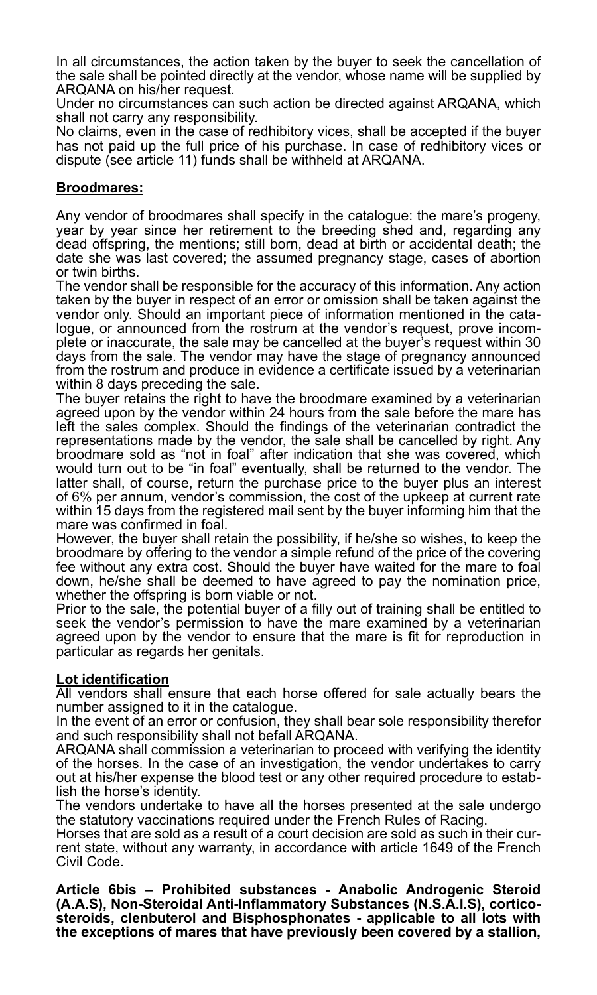In all circumstances, the action taken by the buyer to seek the cancellation of the sale shall be pointed directly at the vendor, whose name will be supplied by ARQANA on his/her request.

Under no circumstances can such action be directed against ARQANA, which shall not carry any responsibility.

No claims, even in the case of redhibitory vices, shall be accepted if the buyer has not paid up the full price of his purchase. In case of redhibitory vices or dispute (see article 11) funds shall be withheld at ARQANA.

#### **Broodmares:**

Any vendor of broodmares shall specify in the catalogue: the mare's progeny, year by year since her retirement to the breeding shed and, regarding any dead offspring, the mentions; still born, dead at birth or accidental death; the date she was last covered; the assumed pregnancy stage, cases of abortion or twin births.

The vendor shall be responsible for the accuracy of this information. Any action taken by the buyer in respect of an error or omission shall be taken against the vendor only. Should an important piece of information mentioned in the catalogue, or announced from the rostrum at the vendor's request, prove incomplete or inaccurate, the sale may be cancelled at the buyer's request within 30 days from the sale. The vendor may have the stage of pregnancy announced from the rostrum and produce in evidence a certificate issued by a veterinarian within 8 days preceding the sale.

The buyer retains the right to have the broodmare examined by a veterinarian agreed upon by the vendor within 24 hours from the sale before the mare has left the sales complex. Should the findings of the veterinarian contradict the representations made by the vendor, the sale shall be cancelled by right. Any broodmare sold as "not in foal" after indication that she was covered, which would turn out to be "in foal" eventually, shall be returned to the vendor. The latter shall, of course, return the purchase price to the buyer plus an interest of 6% per annum, vendor's commission, the cost of the upkeep at current rate within 15 days from the registered mail sent by the buyer informing him that the mare was confirmed in foal.

However, the buyer shall retain the possibility, if he/she so wishes, to keep the broodmare by offering to the vendor a simple refund of the price of the covering fee without any extra cost. Should the buyer have waited for the mare to foal down, he/she shall be deemed to have agreed to pay the nomination price, whether the offspring is born viable or not.

Prior to the sale, the potential buyer of a filly out of training shall be entitled to seek the vendor's permission to have the mare examined by a veterinarian agreed upon by the vendor to ensure that the mare is fit for reproduction in particular as regards her genitals.

#### **Lot identification**

All vendors shall ensure that each horse offered for sale actually bears the number assigned to it in the catalogue.

In the event of an error or confusion, they shall bear sole responsibility therefor and such responsibility shall not befall ARQANA.

ARQANA shall commission a veterinarian to proceed with verifying the identity of the horses. In the case of an investigation, the vendor undertakes to carry out at his/her expense the blood test or any other required procedure to establish the horse's identity.

The vendors undertake to have all the horses presented at the sale undergo the statutory vaccinations required under the French Rules of Racing.<br>Horses that are sold as a result of a court decision are sold as such in their cur-

rent state, without any warranty, in accordance with article 1649 of the French Civil Code.

**Article 6bis – Prohibited substances - Anabolic Androgenic Steroid (A.A.S), Non-Steroidal Anti-Inflammatory Substances (N.S.A.I.S), corticosteroids, clenbuterol and Bisphosphonates - applicable to all lots with the exceptions of mares that have previously been covered by a stallion,**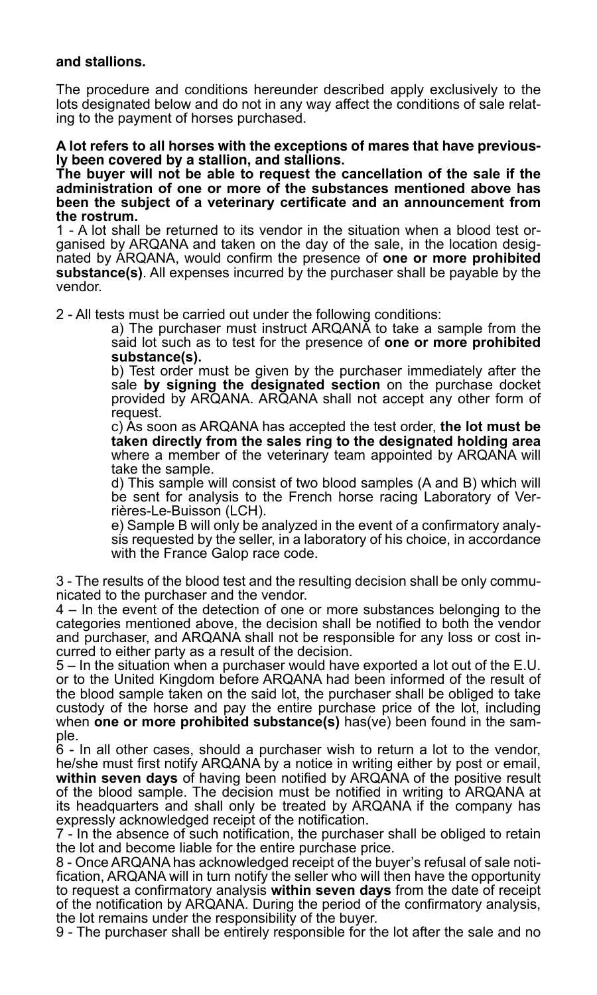#### **and stallions.**

The procedure and conditions hereunder described apply exclusively to the lots designated below and do not in any way affect the conditions of sale relating to the payment of horses purchased.

**A lot refers to all horses with the exceptions of mares that have previously been covered by a stallion, and stallions.**

**The buyer will not be able to request the cancellation of the sale if the administration of one or more of the substances mentioned above has been the subject of a veterinary certificate and an announcement from the rostrum.**

1 - A lot shall be returned to its vendor in the situation when a blood test organised by ARQANA and taken on the day of the sale, in the location designated by ARQANA, would confirm the presence of **one or more prohibited substance(s)**. All expenses incurred by the purchaser shall be payable by the vendor.

2 - All tests must be carried out under the following conditions:

a) The purchaser must instruct ARQANA to take a sample from the said lot such as to test for the presence of **one or more prohibited substance(s).**

b) Test order must be given by the purchaser immediately after the sale **by signing the designated section** on the purchase docket provided by ARQANA. ARQANA shall not accept any other form of request.

c) As soon as ARQANA has accepted the test order, **the lot must be taken directly from the sales ring to the designated holding area** where a member of the veterinary team appointed by ARQANA will take the sample.

d) This sample will consist of two blood samples (A and B) which will be sent for analysis to the French horse racing Laboratory of Verrières-Le-Buisson (LCH).

e) Sample B will only be analyzed in the event of a confirmatory analysis requested by the seller, in a laboratory of his choice, in accordance with the France Galop race code.

3 - The results of the blood test and the resulting decision shall be only communicated to the purchaser and the vendor.

4 – In the event of the detection of one or more substances belonging to the categories mentioned above, the decision shall be notified to both the vendor and purchaser, and ARQANA shall not be responsible for any loss or cost incurred to either party as a result of the decision.

5 – In the situation when a purchaser would have exported a lot out of the E.U. or to the United Kingdom before ARQANA had been informed of the result of the blood sample taken on the said lot, the purchaser shall be obliged to take custody of the horse and pay the entire purchase price of the lot, including when **one or more prohibited substance(s)** has(ve) been found in the sample.

6 - In all other cases, should a purchaser wish to return a lot to the vendor, he/she must first notify ARQANA by a notice in writing either by post or email, **within seven days** of having been notified by ARQANA of the positive result of the blood sample. The decision must be notified in writing to ARQANA at its headquarters and shall only be treated by ARQANA if the company has expressly acknowledged receipt of the notification.

7 - In the absence of such notification, the purchaser shall be obliged to retain the lot and become liable for the entire purchase price.

8 - Once ARQANA has acknowledged receipt of the buyer's refusal of sale notification, ARQANA will in turn notify the seller who will then have the opportunity to request a confirmatory analysis **within seven days** from the date of receipt of the notification by ARQANA. During the period of the confirmatory analysis, the lot remains under the responsibility of the buyer.

9 - The purchaser shall be entirely responsible for the lot after the sale and no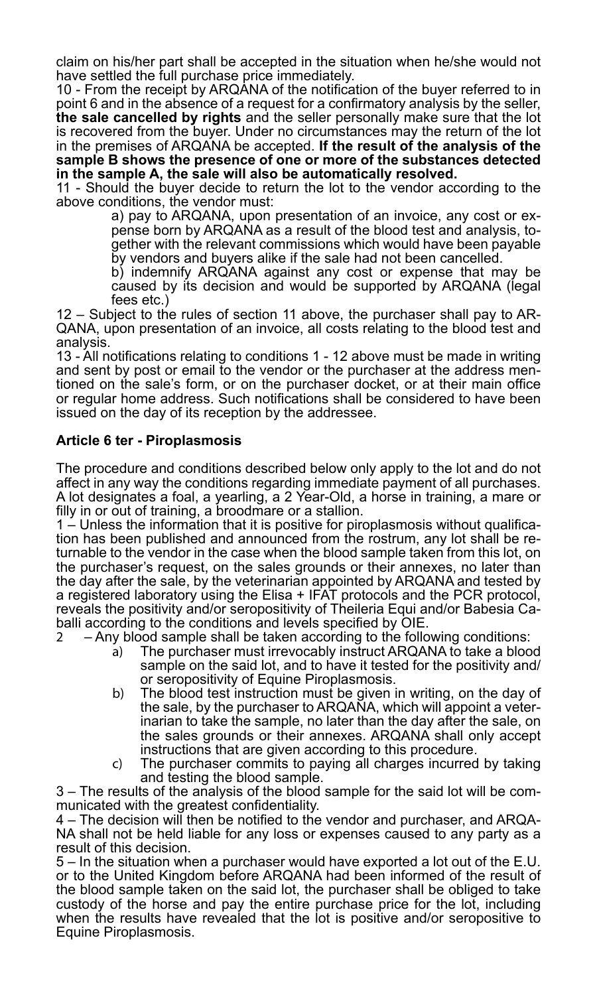claim on his/her part shall be accepted in the situation when he/she would not have settled the full purchase price immediately.

10 - From the receipt by ARQANA of the notification of the buyer referred to in point 6 and in the absence of a request for a confirmatory analysis by the seller, **the sale cancelled by rights** and the seller personally make sure that the lot is recovered from the buyer. Under no circumstances may the return of the lot in the premises of ARQANA be accepted. **If the result of the analysis of the sample B shows the presence of one or more of the substances detected in the sample A, the sale will also be automatically resolved.**

11 - Should the buyer decide to return the lot to the vendor according to the above conditions, the vendor must:

a) pay to ARQANA, upon presentation of an invoice, any cost or expense born by ARQANA as a result of the blood test and analysis, together with the relevant commissions which would have been payable by vendors and buyers alike if the sale had not been cancelled.

b) indemnify ARQANA against any cost or expense that may be caused by its decision and would be supported by ARQANA (legal fees etc.)

12 – Subject to the rules of section 11 above, the purchaser shall pay to AR-QANA, upon presentation of an invoice, all costs relating to the blood test and analysis.

13 - All notifications relating to conditions 1 - 12 above must be made in writing and sent by post or email to the vendor or the purchaser at the address mentioned on the sale's form, or on the purchaser docket, or at their main office or regular home address. Such notifications shall be considered to have been issued on the day of its reception by the addressee.

# **Article 6 ter - Piroplasmosis**

The procedure and conditions described below only apply to the lot and do not affect in any way the conditions regarding immediate payment of all purchases. A lot designates a foal, a yearling, a 2 Year-Old, a horse in training, a mare or filly in or out of training, a broodmare or a stallion.

1 – Unless the information that it is positive for piroplasmosis without qualification has been published and announced from the rostrum, any lot shall be re- turnable to the vendor in the case when the blood sample taken from this lot, on the purchaser's request, on the sales grounds or their annexes, no later than the day after the sale, by the veterinarian appointed by ARQANA and tested by a registered laboratory using the Elisa + IFAT protocols and the PCR protocol, reveals the positivity and/or seropositivity of Theileria Equi and/or Babesia Caballi according to the conditions and levels specified by OIE.<br>2. Any blood sample shall be taken according to the follo

2 – Any blood sample shall be taken according to the following conditions:

- a) The purchaser must irrevocably instruct ARQANA to take a blood sample on the said lot, and to have it tested for the positivity and/ or seropositivity of Equine Piroplasmosis.
- b) The blood test instruction must be given in writing, on the day of the sale, by the purchaser to ARQANA, which will appoint a veterinarian to take the sample, no later than the day after the sale, on the sales grounds or their annexes. ARQANA shall only accept instructions that are given according to this procedure.
- c) The purchaser commits to paying all charges incurred by taking and testing the blood sample.

3 – The results of the analysis of the blood sample for the said lot will be com-

municated with the greatest confidentiality.<br>4 – The decision will then be notified to the vendor and purchaser, and ARQA-NA shall not be held liable for any loss or expenses caused to any party as a result of this decision.

5 – In the situation when a purchaser would have exported a lot out of the E.U. or to the United Kingdom before ARQANA had been informed of the result of the blood sample taken on the said lot, the purchaser shall be obliged to take custody of the horse and pay the entire purchase price for the lot, including when the results have revealed that the lot is positive and/or seropositive to Equine Piroplasmosis.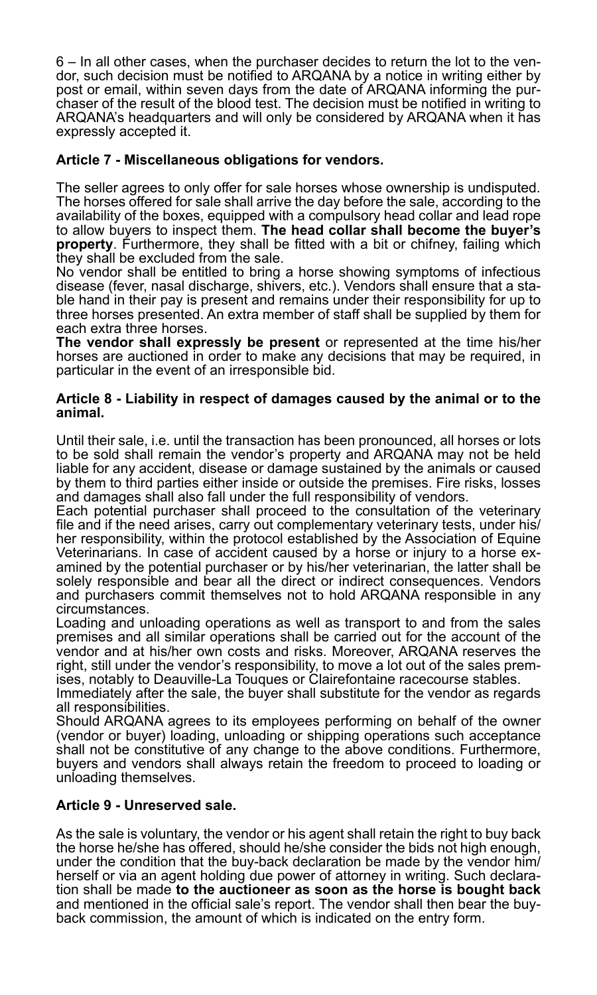6 – In all other cases, when the purchaser decides to return the lot to the vendor, such decision must be notified to ARQANA by a notice in writing either by post or email, within seven days from the date of ARQANA informing the purchaser of the result of the blood test. The decision must be notified in writing to ARQANA's headquarters and will only be considered by ARQANA when it has expressly accepted it.

# **Article 7 - Miscellaneous obligations for vendors.**

The seller agrees to only offer for sale horses whose ownership is undisputed. The horses offered for sale shall arrive the day before the sale, according to the availability of the boxes, equipped with a compulsory head collar and lead rope to allow buyers to inspect them. **The head collar shall become the buyer's property**. Furthermore, they shall be fitted with a bit or chifney, failing which they shall be excluded from the sale.

No vendor shall be entitled to bring a horse showing symptoms of infectious disease (fever, nasal discharge, shivers, etc.). Vendors shall ensure that a stable hand in their pay is present and remains under their responsibility for up to three horses presented. An extra member of staff shall be supplied by them for each extra three horses.

**The vendor shall expressly be present** or represented at the time his/her horses are auctioned in order to make any decisions that may be required, in particular in the event of an irresponsible bid.

#### **Article 8 - Liability in respect of damages caused by the animal or to the animal.**

Until their sale, i.e. until the transaction has been pronounced, all horses or lots to be sold shall remain the vendor's property and ARQANA may not be held liable for any accident, disease or damage sustained by the animals or caused by them to third parties either inside or outside the premises. Fire risks, losses and damages shall also fall under the full responsibility of vendors.

Each potential purchaser shall proceed to the consultation of the veterinary file and if the need arises, carry out complementary veterinary tests, under his/ her responsibility, within the protocol established by the Association of Equine<br>Veterinarians. In case of accident caused by a horse or injury to a horse examined by the potential purchaser or by his/her veterinarian, the latter shall be solely responsible and bear all the direct or indirect consequences. Vendors and purchasers commit themselves not to hold ARQANA responsible in any circumstances.

Loading and unloading operations as well as transport to and from the sales premises and all similar operations shall be carried out for the account of the vendor and at his/her own costs and risks. Moreover, ARQANA reserves the right, still under the vendor's responsibility, to move a lot out of the sales premises, notably to Deauville-La Touques or Clairefontaine racecourse stables.

Immediately after the sale, the buyer shall substitute for the vendor as regards all responsibilities.

Should ARQANA agrees to its employees performing on behalf of the owner (vendor or buyer) loading, unloading or shipping operations such acceptance shall not be constitutive of any change to the above conditions. Furthermore, buyers and vendors shall always retain the freedom to proceed to loading or unloading themselves.

# **Article 9 - Unreserved sale.**

As the sale is voluntary, the vendor or his agent shall retain the right to buy back the horse he/she has offered, should he/she consider the bids not high enough, under the condition that the buy-back declaration be made by the vendor him/<br>herself or via an agent holding due power of attorney in writing. Such declaration shall be made to the auctioneer as soon as the horse is bought back and mentioned in the official sale's report. The vendor shall then bear the buyback commission, the amount of which is indicated on the entry form.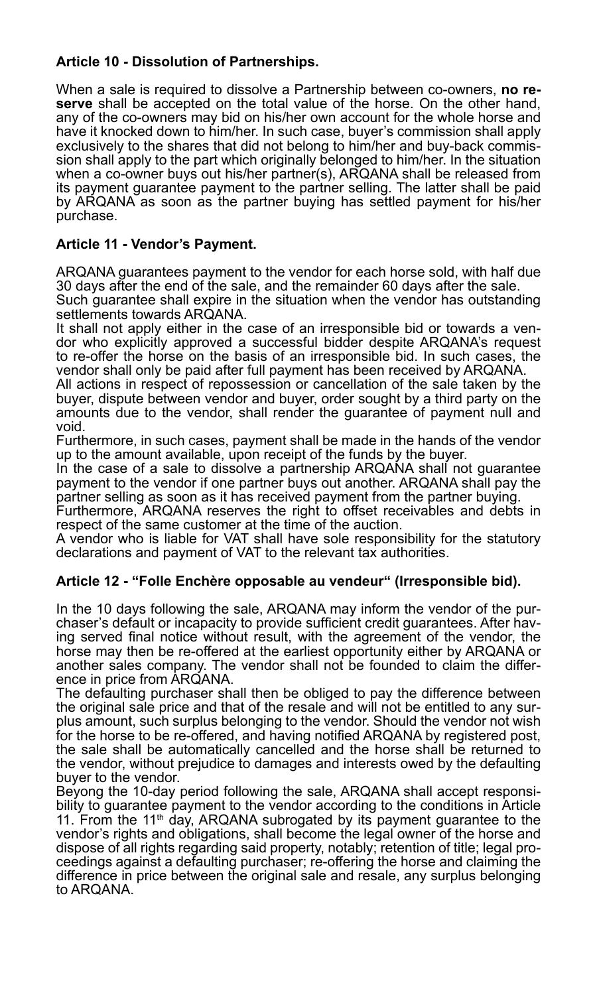# **Article 10 - Dissolution of Partnerships.**

When a sale is required to dissolve a Partnership between co-owners, **no reserve** shall be accepted on the total value of the horse. On the other hand, any of the co-owners may bid on his/her own account for the whole horse and have it knocked down to him/her. In such case, buyer's commission shall apply exclusively to the shares that did not belong to him/her and buy-back commission shall apply to the part which originally belonged to him/her. In the situation when a co-owner buys out his/her partner(s), ARQANA shall be released from its payment guarantee payment to the partner selling. The latter shall be paid by ARQANA as soon as the partner buying has settled payment for his/her purchase.

# **Article 11 - Vendor's Payment.**

ARQANA guarantees payment to the vendor for each horse sold, with half due 30 days after the end of the sale, and the remainder 60 days after the sale. Such guarantee shall expire in the situation when the vendor has outstanding settlements towards ARQANA.

It shall not apply either in the case of an irresponsible bid or towards a vendor who explicitly approved a successful bidder despite ARQANA's request to re-offer the horse on the basis of an irresponsible bid. In such cases, the vendor shall only be paid after full payment has been received by ARQANA.

All actions in respect of repossession or cancellation of the sale taken by the buyer, dispute between vendor and buyer, order sought by a third party on the amounts due to the vendor, shall render the guarantee of payment null and void.

Furthermore, in such cases, payment shall be made in the hands of the vendor up to the amount available, upon receipt of the funds by the buyer.

In the case of a sale to dissolve a partnership ARQANA shall not guarantee payment to the vendor if one partner buys out another. ARQANA shall pay the partner selling as soon as it has received payment from the partner buying.

Furthermore, ARQANA reserves the right to offset receivables and debts in respect of the same customer at the time of the auction.

A vendor who is liable for VAT shall have sole responsibility for the statutory declarations and payment of VAT to the relevant tax authorities.

# **Article 12 - "Folle Enchère opposable au vendeur" (Irresponsible bid).**

In the 10 days following the sale, ARQANA may inform the vendor of the purchaser's default or incapacity to provide sufficient credit guarantees. After having served final notice without result, with the agreement of the vendor, the horse may then be re-offered at the earliest opportunity either by ARQANA or another sales company. The vendor shall not be founded to claim the difference in price from ARQANA.

The defaulting purchaser shall then be obliged to pay the difference between the original sale price and that of the resale and will not be entitled to any surplus amount, such surplus belonging to the vendor. Should the vendor not wish for the horse to be re-offered, and having notified ARQANA by registered post, the sale shall be automatically cancelled and the horse shall be returned to the vendor, without prejudice to damages and interests owed by the defaulting buyer to the vendor.

Beyong the 10-day period following the sale, ARQANA shall accept responsibility to guarantee payment to the vendor according to the conditions in Article 11. From the 11<sup>th</sup> day, ARQANA subrogated by its payment guarantee to the vendor's rights and obligations, shall become the legal owner of the horse and dispose of all rights regarding said property, notably; retention of title; legal proceedings against a defaulting purchaser; re-offering the horse and claiming the difference in price between the original sale and resale, any surplus belonging to ARQANA.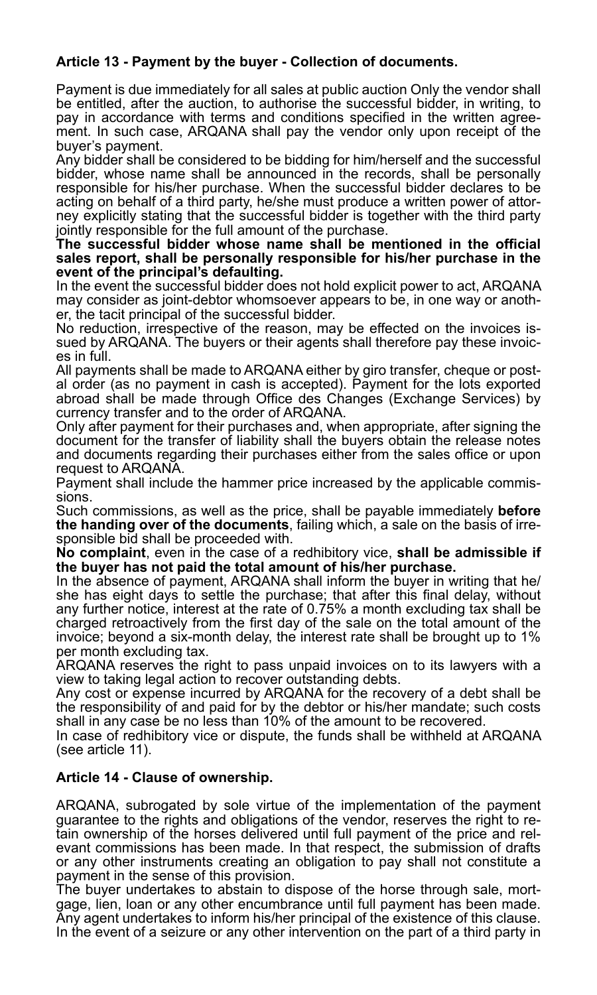# **Article 13 - Payment by the buyer - Collection of documents.**

Payment is due immediately for all sales at public auction Only the vendor shall be entitled, after the auction, to authorise the successful bidder, in writing, to pay in accordance with terms and conditions specified in the written agreement. In such case, ARQANA shall pay the vendor only upon receipt of the buyer's payment.

Any bidder shall be considered to be bidding for him/herself and the successful bidder, whose name shall be announced in the records, shall be personally responsible for his/her purchase. When the successful bidder declares to be acting on behalf of a third party, he/she must produce a written power of attorney explicitly stating that the successful bidder is together with the third party jointly responsible for the full amount of the purchase.

#### **The successful bidder whose name shall be mentioned in the official sales report, shall be personally responsible for his/her purchase in the event of the principal's defaulting.**

In the event the successful bidder does not hold explicit power to act, ARQANA may consider as joint-debtor whomsoever appears to be, in one way or another, the tacit principal of the successful bidder.

No reduction, irrespective of the reason, may be effected on the invoices issued by ARQANA. The buyers or their agents shall therefore pay these invoices in full.

All payments shall be made to ARQANA either by giro transfer, cheque or postal order (as no payment in cash is accepted). Payment for the lots exported abroad shall be made through Office des Changes (Exchange Services) by currency transfer and to the order of ARQANA.

Only after payment for their purchases and, when appropriate, after signing the document for the transfer of liability shall the buyers obtain the release notes and documents regarding their purchases either from the sales office or upon request to ARQANA.

Payment shall include the hammer price increased by the applicable commissions.

Such commissions, as well as the price, shall be payable immediately **before the handing over of the documents**, failing which, a sale on the basis of irresponsible bid shall be proceeded with.

**No complaint**, even in the case of a redhibitory vice, **shall be admissible if the buyer has not paid the total amount of his/her purchase.**

In the absence of payment, ARQANA shall inform the buyer in writing that he/ she has eight days to settle the purchase; that after this final delay, without any further notice, interest at the rate of 0.75% a month excluding tax shall be charged retroactively from the first day of the sale on the total amount of the invoice; beyond a six-month delay, the interest rate shall be brought up to 1% per month excluding tax.

ARQANA reserves the right to pass unpaid invoices on to its lawyers with a view to taking legal action to recover outstanding debts.

Any cost or expense incurred by ARQANA for the recovery of a debt shall be the responsibility of and paid for by the debtor or his/her mandate; such costs shall in any case be no less than 10% of the amount to be recovered.

In case of redhibitory vice or dispute, the funds shall be withheld at ARQANA (see article 11).

# **Article 14 - Clause of ownership.**

ARQANA, subrogated by sole virtue of the implementation of the payment guarantee to the rights and obligations of the vendor, reserves the right to retain ownership of the horses delivered until full payment of the price and relevant commissions has been made. In that respect, the submission of drafts or any other instruments creating an obligation to pay shall not constitute a payment in the sense of this provision.<br>The buyer undertakes to abstain to dispose of the horse through sale, mort-

gage, lien, loan or any other encumbrance until full payment has been made. Any agent undertakes to inform his/her principal of the existence of this clause. In the event of a seizure or any other intervention on the part of a third party in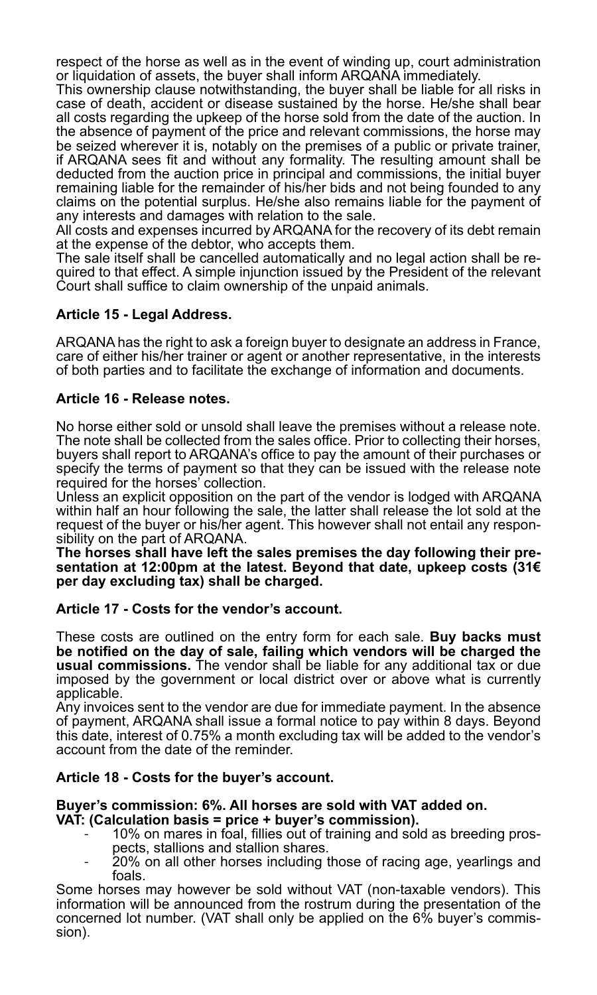respect of the horse as well as in the event of winding up, court administration or liquidation of assets, the buyer shall inform ARQANA immediately.

This ownership clause notwithstanding, the buyer shall be liable for all risks in case of death, accident or disease sustained by the horse. He/she shall bear all costs regarding the upkeep of the horse sold from the date of the auction. In the absence of payment of the price and relevant commissions, the horse may be seized wherever it is, notably on the premises of a public or private trainer, if ARQANA sees fit and without any formality. The resulting amount shall be deducted from the auction price in principal and commissions, the initial buyer remaining liable for the remainder of his/her bids and not being founded to any claims on the potential surplus. He/she also remains liable for the payment of any interests and damages with relation to the sale.

All costs and expenses incurred by ARQANA for the recovery of its debt remain at the expense of the debtor, who accepts them.

The sale itself shall be cancelled automatically and no legal action shall be required to that effect. A simple injunction issued by the President of the relevant Court shall suffice to claim ownership of the unpaid animals.

# **Article 15 - Legal Address.**

ARQANA has the right to ask a foreign buyer to designate an address in France, care of either his/her trainer or agent or another representative, in the interests of both parties and to facilitate the exchange of information and documents.

#### **Article 16 - Release notes.**

No horse either sold or unsold shall leave the premises without a release note. The note shall be collected from the sales office. Prior to collecting their horses, buyers shall report to ARQANA's office to pay the amount of their purchases or specify the terms of payment so that they can be issued with the release note required for the horses' collection.

Unless an explicit opposition on the part of the vendor is lodged with ARQANA within half an hour following the sale, the latter shall release the lot sold at the request of the buyer or his/her agent. This however shall not entail any responsibility on the part of ARQANA.<br>The horses shall have left the sales premises the dav following their pre-

**The horses shall have left the sales premises the day following their pre- sentation at 12:00pm at the latest. Beyond that date, upkeep costs (31€ per day excluding tax) shall be charged.**

# **Article 17 - Costs for the vendor's account.**

These costs are outlined on the entry form for each sale. **Buy backs must be notified on the day of sale, failing which vendors will be charged the usual commissions.** The vendor shall be liable for any additional tax or due imposed by the government or local district over or above what is currently applicable.

Any invoices sent to the vendor are due for immediate payment. In the absence of payment, ARQANA shall issue a formal notice to pay within 8 days. Beyond this date, interest of 0.75% a month excluding tax will be added to the vendor's account from the date of the reminder.

# **Article 18 - Costs for the buyer's account.**

# **Buyer's commission: 6%. All horses are sold with VAT added on.**

- 10% on mares in foal, fillies out of training and sold as breeding prospects, stallions and stallion shares.<br>20% on all other horses including those of racing age, yearlings and
- foals.

Some horses may however be sold without VAT (non-taxable vendors). This information will be announced from the rostrum during the presentation of the concerned lot number. (VAT shall only be applied on the 6% buyer's commission).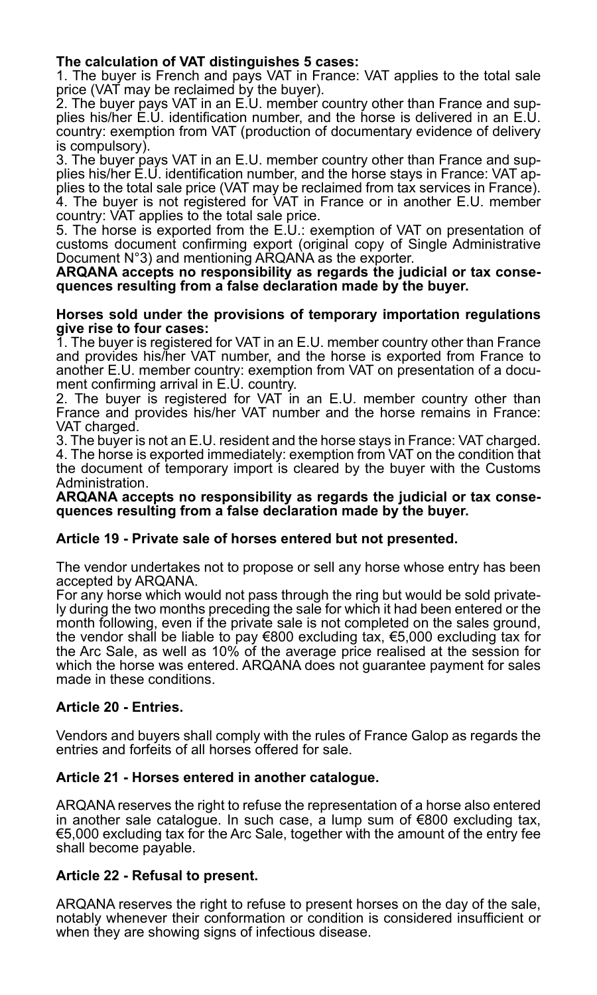### **The calculation of VAT distinguishes 5 cases:**

1. The buyer is French and pays VAT in France: VAT applies to the total sale price (VAT may be reclaimed by the buyer).

2. The buyer pays VAT in an E.U. member country other than France and supplies his/her E.U. identification number, and the horse is delivered in an E.U. country: exemption from VAT (production of documentary evidence of delivery is compulsory).

3. The buyer pays VAT in an E.U. member country other than France and supplies his/her E.U. identification number, and the horse stays in France: VAT applies to the total sale price (VAT may be reclaimed from tax services in France). 4. The buyer is not registered for VAT in France or in another E.U. member country: VAT applies to the total sale price.

5. The horse is exported from the E.U.: exemption of VAT on presentation of customs document confirming export (original copy of Single Administrative Document N°3) and mentioning ARQANA as the exporter.

**ARQANA accepts no responsibility as regards the judicial or tax consequences resulting from a false declaration made by the buyer.**

#### **Horses sold under the provisions of temporary importation regulations give rise to four cases:**

1. The buyer is registered for VAT in an E.U. member country other than France and provides his/her VAT number, and the horse is exported from France to another E.U. member country: exemption from VAT on presentation of a document confirming arrival in E.U. country.

2. The buyer is registered for VAT in an E.U. member country other than France and provides his/her VAT number and the horse remains in France: VAT charged.

3. The buyer is not an E.U. resident and the horse stays in France: VAT charged. 4. The horse is exported immediately: exemption from VAT on the condition that the document of temporary import is cleared by the buyer with the Customs Administration.

**ARQANA accepts no responsibility as regards the judicial or tax consequences resulting from a false declaration made by the buyer.**

#### **Article 19 - Private sale of horses entered but not presented.**

The vendor undertakes not to propose or sell any horse whose entry has been accepted by ARQANA.

For any horse which would not pass through the ring but would be sold privately during the two months preceding the sale for which it had been entered or the month following, even if the private sale is not completed on the sales ground. the vendor shall be liable to pay €800 excluding tax, €5,000 excluding tax for the Arc Sale, as well as 10% of the average price realised at the session for which the horse was entered. ARQANA does not quarantee payment for sales made in these conditions.

# **Article 20 - Entries.**

Vendors and buyers shall comply with the rules of France Galop as regards the entries and forfeits of all horses offered for sale.

#### **Article 21 - Horses entered in another catalogue.**

ARQANA reserves the right to refuse the representation of a horse also entered in another sale catalogue. In such case, a lump sum of €800 excluding tax, €5,000 excluding tax for the Arc Sale, together with the amount of the entry fee shall become payable.

# **Article 22 - Refusal to present.**

ARQANA reserves the right to refuse to present horses on the day of the sale, notably whenever their conformation or condition is considered insufficient or when they are showing signs of infectious disease.